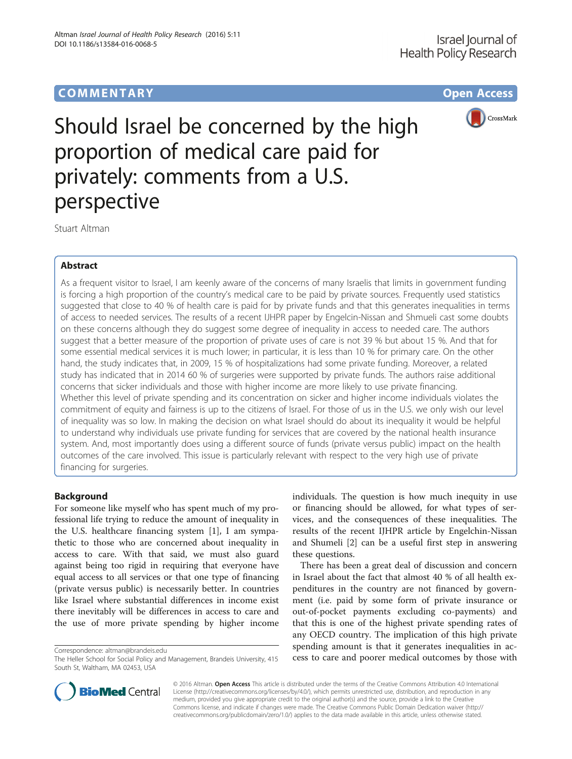# COMM EN TARY Open Access



Should Israel be concerned by the high proportion of medical care paid for privately: comments from a U.S. perspective

Stuart Altman

## Abstract

As a frequent visitor to Israel, I am keenly aware of the concerns of many Israelis that limits in government funding is forcing a high proportion of the country's medical care to be paid by private sources. Frequently used statistics suggested that close to 40 % of health care is paid for by private funds and that this generates inequalities in terms of access to needed services. The results of a recent IJHPR paper by Engelcin-Nissan and Shmueli cast some doubts on these concerns although they do suggest some degree of inequality in access to needed care. The authors suggest that a better measure of the proportion of private uses of care is not 39 % but about 15 %. And that for some essential medical services it is much lower; in particular, it is less than 10 % for primary care. On the other hand, the study indicates that, in 2009, 15 % of hospitalizations had some private funding. Moreover, a related study has indicated that in 2014 60 % of surgeries were supported by private funds. The authors raise additional concerns that sicker individuals and those with higher income are more likely to use private financing. Whether this level of private spending and its concentration on sicker and higher income individuals violates the commitment of equity and fairness is up to the citizens of Israel. For those of us in the U.S. we only wish our level of inequality was so low. In making the decision on what Israel should do about its inequality it would be helpful to understand why individuals use private funding for services that are covered by the national health insurance system. And, most importantly does using a different source of funds (private versus public) impact on the health outcomes of the care involved. This issue is particularly relevant with respect to the very high use of private financing for surgeries.

## Background

For someone like myself who has spent much of my professional life trying to reduce the amount of inequality in the U.S. healthcare financing system [[1](#page-2-0)], I am sympathetic to those who are concerned about inequality in access to care. With that said, we must also guard against being too rigid in requiring that everyone have equal access to all services or that one type of financing (private versus public) is necessarily better. In countries like Israel where substantial differences in income exist there inevitably will be differences in access to care and the use of more private spending by higher income

individuals. The question is how much inequity in use or financing should be allowed, for what types of services, and the consequences of these inequalities. The results of the recent IJHPR article by Engelchin-Nissan and Shumeli [\[2](#page-2-0)] can be a useful first step in answering these questions.

There has been a great deal of discussion and concern in Israel about the fact that almost 40 % of all health expenditures in the country are not financed by government (i.e. paid by some form of private insurance or out-of-pocket payments excluding co-payments) and that this is one of the highest private spending rates of any OECD country. The implication of this high private spending amount is that it generates inequalities in acCorrespondence: [altman@brandeis.edu](mailto:altman@brandeis.edu)<br>The Heller School for Social Policy and Management, Brandeis University, 415 cess to care and poorer medical outcomes by those with



© 2016 Altman. Open Access This article is distributed under the terms of the Creative Commons Attribution 4.0 International License ([http://creativecommons.org/licenses/by/4.0/\)](http://creativecommons.org/licenses/by/4.0/), which permits unrestricted use, distribution, and reproduction in any medium, provided you give appropriate credit to the original author(s) and the source, provide a link to the Creative Commons license, and indicate if changes were made. The Creative Commons Public Domain Dedication waiver ([http://](http://creativecommons.org/publicdomain/zero/1.0/) [creativecommons.org/publicdomain/zero/1.0/\)](http://creativecommons.org/publicdomain/zero/1.0/) applies to the data made available in this article, unless otherwise stated.

The Heller School for Social Policy and Management, Brandeis University, 415 South St, Waltham, MA 02453, USA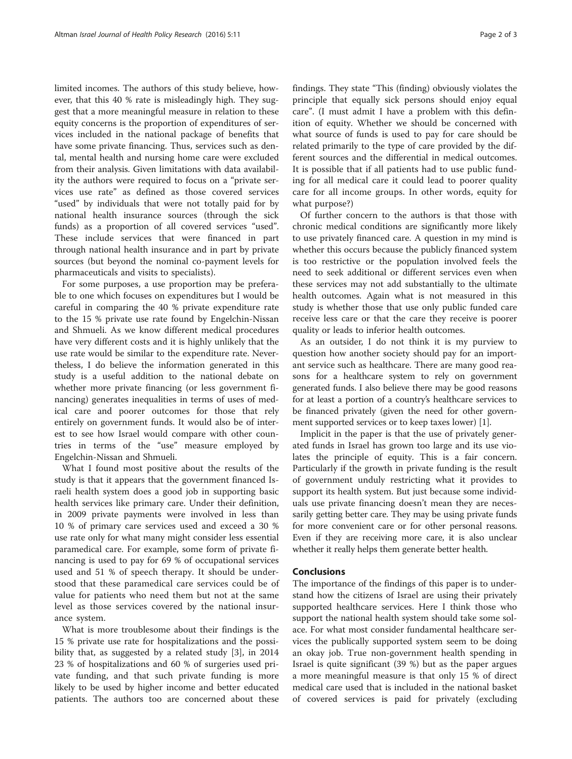limited incomes. The authors of this study believe, however, that this 40 % rate is misleadingly high. They suggest that a more meaningful measure in relation to these equity concerns is the proportion of expenditures of services included in the national package of benefits that have some private financing. Thus, services such as dental, mental health and nursing home care were excluded from their analysis. Given limitations with data availability the authors were required to focus on a "private services use rate" as defined as those covered services "used" by individuals that were not totally paid for by national health insurance sources (through the sick funds) as a proportion of all covered services "used". These include services that were financed in part through national health insurance and in part by private sources (but beyond the nominal co-payment levels for pharmaceuticals and visits to specialists).

For some purposes, a use proportion may be preferable to one which focuses on expenditures but I would be careful in comparing the 40 % private expenditure rate to the 15 % private use rate found by Engelchin-Nissan and Shmueli. As we know different medical procedures have very different costs and it is highly unlikely that the use rate would be similar to the expenditure rate. Nevertheless, I do believe the information generated in this study is a useful addition to the national debate on whether more private financing (or less government financing) generates inequalities in terms of uses of medical care and poorer outcomes for those that rely entirely on government funds. It would also be of interest to see how Israel would compare with other countries in terms of the "use" measure employed by Engelchin-Nissan and Shmueli.

What I found most positive about the results of the study is that it appears that the government financed Israeli health system does a good job in supporting basic health services like primary care. Under their definition, in 2009 private payments were involved in less than 10 % of primary care services used and exceed a 30 % use rate only for what many might consider less essential paramedical care. For example, some form of private financing is used to pay for 69 % of occupational services used and 51 % of speech therapy. It should be understood that these paramedical care services could be of value for patients who need them but not at the same level as those services covered by the national insurance system.

What is more troublesome about their findings is the 15 % private use rate for hospitalizations and the possibility that, as suggested by a related study [\[3](#page-2-0)], in 2014 23 % of hospitalizations and 60 % of surgeries used private funding, and that such private funding is more likely to be used by higher income and better educated patients. The authors too are concerned about these findings. They state "This (finding) obviously violates the principle that equally sick persons should enjoy equal care". (I must admit I have a problem with this definition of equity. Whether we should be concerned with what source of funds is used to pay for care should be related primarily to the type of care provided by the different sources and the differential in medical outcomes. It is possible that if all patients had to use public funding for all medical care it could lead to poorer quality care for all income groups. In other words, equity for what purpose?)

Of further concern to the authors is that those with chronic medical conditions are significantly more likely to use privately financed care. A question in my mind is whether this occurs because the publicly financed system is too restrictive or the population involved feels the need to seek additional or different services even when these services may not add substantially to the ultimate health outcomes. Again what is not measured in this study is whether those that use only public funded care receive less care or that the care they receive is poorer quality or leads to inferior health outcomes.

As an outsider, I do not think it is my purview to question how another society should pay for an important service such as healthcare. There are many good reasons for a healthcare system to rely on government generated funds. I also believe there may be good reasons for at least a portion of a country's healthcare services to be financed privately (given the need for other government supported services or to keep taxes lower) [\[1\]](#page-2-0).

Implicit in the paper is that the use of privately generated funds in Israel has grown too large and its use violates the principle of equity. This is a fair concern. Particularly if the growth in private funding is the result of government unduly restricting what it provides to support its health system. But just because some individuals use private financing doesn't mean they are necessarily getting better care. They may be using private funds for more convenient care or for other personal reasons. Even if they are receiving more care, it is also unclear whether it really helps them generate better health.

### **Conclusions**

The importance of the findings of this paper is to understand how the citizens of Israel are using their privately supported healthcare services. Here I think those who support the national health system should take some solace. For what most consider fundamental healthcare services the publically supported system seem to be doing an okay job. True non-government health spending in Israel is quite significant (39 %) but as the paper argues a more meaningful measure is that only 15 % of direct medical care used that is included in the national basket of covered services is paid for privately (excluding